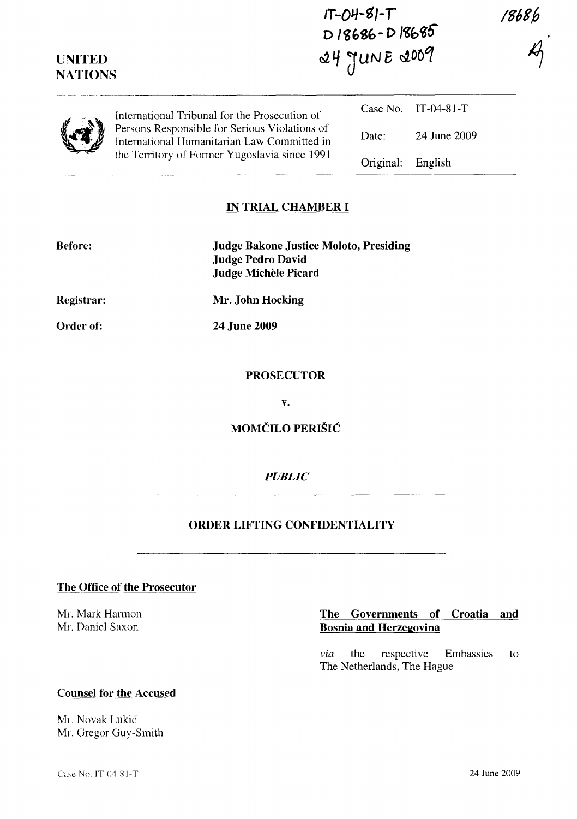| <b>UNITED</b><br><b>NATIONS</b> |                                                                                                                                               | $IT-OH-SI-T$<br>D18686-D18685<br>24 JUNE 2009 |              | 18686 |
|---------------------------------|-----------------------------------------------------------------------------------------------------------------------------------------------|-----------------------------------------------|--------------|-------|
|                                 | International Tribunal for the Prosecution of                                                                                                 | Case No.                                      | IT-04-81-T   |       |
|                                 | Persons Responsible for Serious Violations of<br>International Humanitarian Law Committed in<br>the Territory of Former Yugoslavia since 1991 | Date:                                         | 24 June 2009 |       |
|                                 |                                                                                                                                               | Original:                                     | English      |       |

 $IT$ - $OH$ - $SI$ - $T$ 

### **IN TRIAL CHAMBER I**

| Before:    | <b>Judge Bakone Justice Moloto, Presiding</b><br><b>Judge Pedro David</b><br>Judge Michèle Picard |
|------------|---------------------------------------------------------------------------------------------------|
| Registrar: | Mr. John Hocking                                                                                  |
| Order of:  | <b>24 June 2009</b>                                                                               |
|            |                                                                                                   |

#### **PROSECUTOR**

**v.** 

**MOMCILO PERISIC** 

# *PUBLIC*

### **ORDER LIFTING CONFIDENTIALITY**

**The Office of the Prosecutor** 

Mr. Mark Harmon Mr. Daniel Saxon

## **The Governments of Croatia and Bosnia and Herzegovina**

*via* the respective Embassies to The Netherlands, The Hague

#### **Counsel for the Accused**

Mr. Novak Lukić MI. Gregor Guy-Smith